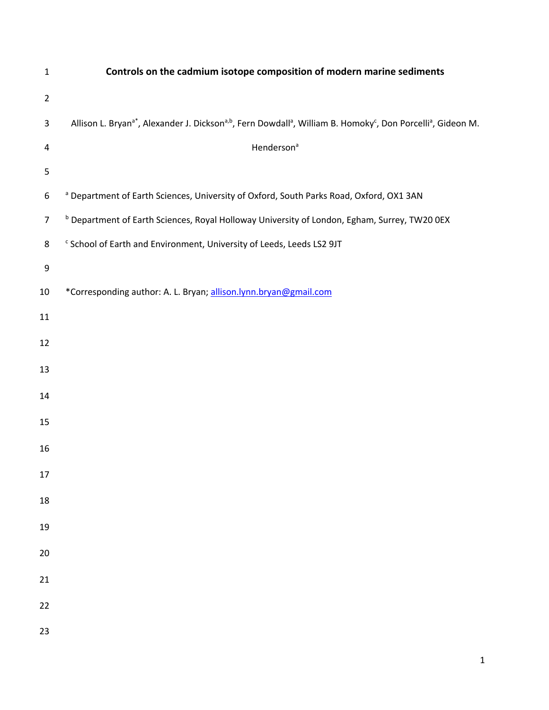| $\mathbf{1}$   | Controls on the cadmium isotope composition of modern marine sediments                                                                                                    |
|----------------|---------------------------------------------------------------------------------------------------------------------------------------------------------------------------|
| $\overline{2}$ |                                                                                                                                                                           |
| 3              | Allison L. Bryan <sup>a*</sup> , Alexander J. Dickson <sup>a,b</sup> , Fern Dowdall <sup>a</sup> , William B. Homoky <sup>c</sup> , Don Porcelli <sup>a</sup> , Gideon M. |
| 4              | Henderson <sup>a</sup>                                                                                                                                                    |
| 5              |                                                                                                                                                                           |
| 6              | <sup>a</sup> Department of Earth Sciences, University of Oxford, South Parks Road, Oxford, OX1 3AN                                                                        |
| $\overline{7}$ | <sup>b</sup> Department of Earth Sciences, Royal Holloway University of London, Egham, Surrey, TW20 0EX                                                                   |
| 8              | <sup>c</sup> School of Earth and Environment, University of Leeds, Leeds LS2 9JT                                                                                          |
| 9              |                                                                                                                                                                           |
| $10\,$         | *Corresponding author: A. L. Bryan; allison.lynn.bryan@gmail.com                                                                                                          |
| $11\,$         |                                                                                                                                                                           |
| 12             |                                                                                                                                                                           |
| 13             |                                                                                                                                                                           |
| 14             |                                                                                                                                                                           |
| 15             |                                                                                                                                                                           |
| 16             |                                                                                                                                                                           |
| 17             |                                                                                                                                                                           |
| 18             |                                                                                                                                                                           |
| 19             |                                                                                                                                                                           |
|                |                                                                                                                                                                           |
| 20             |                                                                                                                                                                           |
| 21             |                                                                                                                                                                           |
| 22             |                                                                                                                                                                           |
| 23             |                                                                                                                                                                           |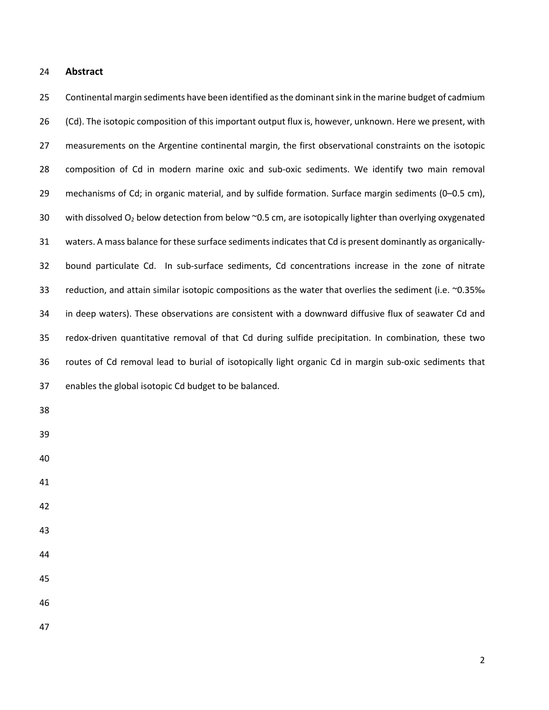## **Abstract**

 Continental margin sediments have been identified as the dominantsink in the marine budget of cadmium (Cd). The isotopic composition of this important output flux is, however, unknown. Here we present, with measurements on the Argentine continental margin, the first observational constraints on the isotopic composition of Cd in modern marine oxic and sub-oxic sediments. We identify two main removal mechanisms of Cd; in organic material, and by sulfide formation. Surface margin sediments (0–0.5 cm), 30 with dissolved  $O_2$  below detection from below  $\sim$ 0.5 cm, are isotopically lighter than overlying oxygenated waters. A mass balance for these surface sedimentsindicates that Cd is present dominantly as organically- bound particulate Cd. In sub-surface sediments, Cd concentrations increase in the zone of nitrate 33 reduction, and attain similar isotopic compositions as the water that overlies the sediment (i.e. ~0.35‰ in deep waters). These observations are consistent with a downward diffusive flux of seawater Cd and redox-driven quantitative removal of that Cd during sulfide precipitation. In combination, these two routes of Cd removal lead to burial of isotopically light organic Cd in margin sub-oxic sediments that enables the global isotopic Cd budget to be balanced.

- 
- 
- 
- 
- 
- 
- 
- 

- 
-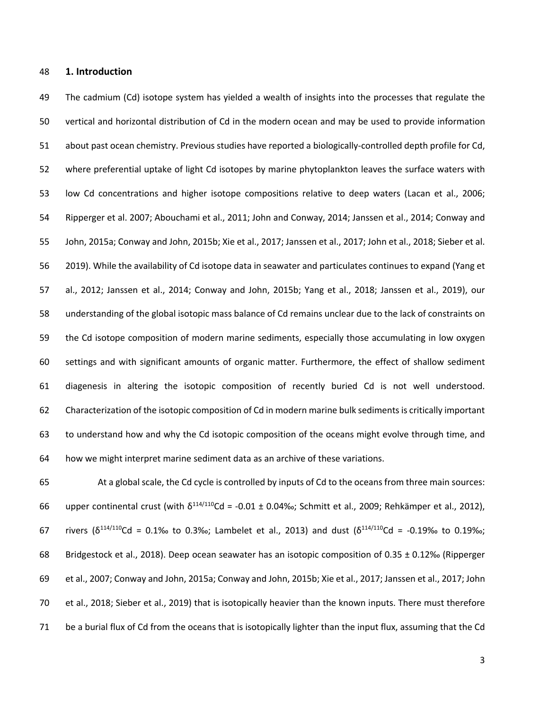# **1. Introduction**

 The cadmium (Cd) isotope system has yielded a wealth of insights into the processes that regulate the vertical and horizontal distribution of Cd in the modern ocean and may be used to provide information about past ocean chemistry. Previous studies have reported a biologically-controlled depth profile for Cd, where preferential uptake of light Cd isotopes by marine phytoplankton leaves the surface waters with low Cd concentrations and higher isotope compositions relative to deep waters (Lacan et al., 2006; Ripperger et al. 2007; Abouchami et al., 2011; John and Conway, 2014; Janssen et al., 2014; Conway and John, 2015a; Conway and John, 2015b; Xie et al., 2017; Janssen et al., 2017; John et al., 2018; Sieber et al. 2019). While the availability of Cd isotope data in seawater and particulates continues to expand (Yang et al., 2012; Janssen et al., 2014; Conway and John, 2015b; Yang et al., 2018; Janssen et al., 2019), our understanding of the global isotopic mass balance of Cd remains unclear due to the lack of constraints on the Cd isotope composition of modern marine sediments, especially those accumulating in low oxygen settings and with significant amounts of organic matter. Furthermore, the effect of shallow sediment diagenesis in altering the isotopic composition of recently buried Cd is not well understood. Characterization of the isotopic composition of Cd in modern marine bulk sediments is critically important to understand how and why the Cd isotopic composition of the oceans might evolve through time, and how we might interpret marine sediment data as an archive of these variations.

 At a global scale, the Cd cycle is controlled by inputs of Cd to the oceans from three main sources: 66 upper continental crust (with  $\delta^{114/110}$ Cd = -0.01 ± 0.04‰; Schmitt et al., 2009; Rehkämper et al., 2012), 67 rivers ( $\delta^{114/110}$ Cd = 0.1‰ to 0.3‰; Lambelet et al., 2013) and dust ( $\delta^{114/110}$ Cd = -0.19‰ to 0.19‰; Bridgestock et al., 2018). Deep ocean seawater has an isotopic composition of 0.35 ± 0.12‰ (Ripperger et al., 2007; Conway and John, 2015a; Conway and John, 2015b; Xie et al., 2017; Janssen et al., 2017; John et al., 2018; Sieber et al., 2019) that is isotopically heavier than the known inputs. There must therefore be a burial flux of Cd from the oceans that is isotopically lighter than the input flux, assuming that the Cd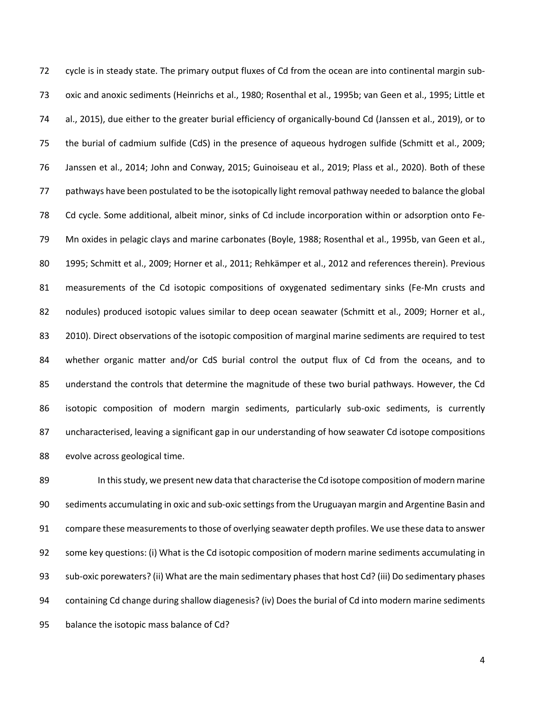cycle is in steady state. The primary output fluxes of Cd from the ocean are into continental margin sub- oxic and anoxic sediments (Heinrichs et al., 1980; Rosenthal et al., 1995b; van Geen et al., 1995; Little et al., 2015), due either to the greater burial efficiency of organically-bound Cd (Janssen et al., 2019), or to the burial of cadmium sulfide (CdS) in the presence of aqueous hydrogen sulfide (Schmitt et al., 2009; Janssen et al., 2014; John and Conway, 2015; Guinoiseau et al., 2019; Plass et al., 2020). Both of these pathways have been postulated to be the isotopically light removal pathway needed to balance the global Cd cycle. Some additional, albeit minor, sinks of Cd include incorporation within or adsorption onto Fe- Mn oxides in pelagic clays and marine carbonates (Boyle, 1988; Rosenthal et al., 1995b, van Geen et al., 80 1995; Schmitt et al., 2009; Horner et al., 2011; Rehkämper et al., 2012 and references therein). Previous measurements of the Cd isotopic compositions of oxygenated sedimentary sinks (Fe-Mn crusts and 82 nodules) produced isotopic values similar to deep ocean seawater (Schmitt et al., 2009; Horner et al., 83 2010). Direct observations of the isotopic composition of marginal marine sediments are required to test whether organic matter and/or CdS burial control the output flux of Cd from the oceans, and to understand the controls that determine the magnitude of these two burial pathways. However, the Cd isotopic composition of modern margin sediments, particularly sub-oxic sediments, is currently uncharacterised, leaving a significant gap in our understanding of how seawater Cd isotope compositions evolve across geological time.

 In this study, we present new data that characterise the Cd isotope composition of modern marine sediments accumulating in oxic and sub-oxic settings from the Uruguayan margin and Argentine Basin and 91 compare these measurements to those of overlying seawater depth profiles. We use these data to answer some key questions: (i) What is the Cd isotopic composition of modern marine sediments accumulating in sub-oxic porewaters? (ii) What are the main sedimentary phases that host Cd? (iii) Do sedimentary phases containing Cd change during shallow diagenesis? (iv) Does the burial of Cd into modern marine sediments balance the isotopic mass balance of Cd?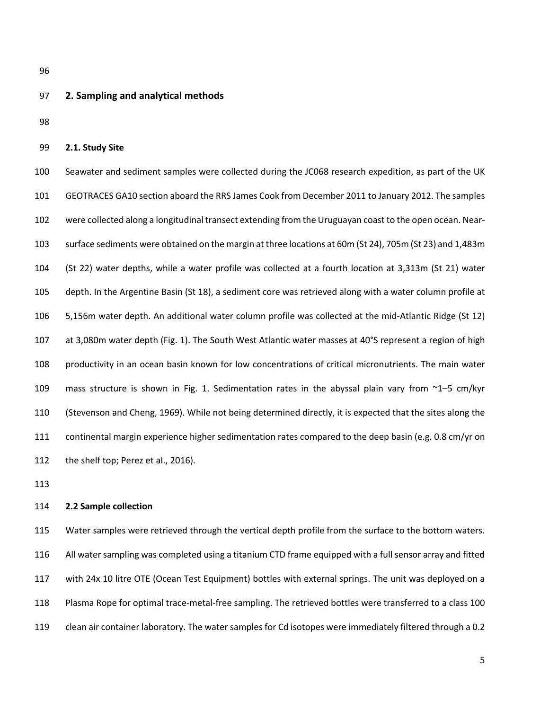#### **2. Sampling and analytical methods**

### **2.1. Study Site**

 Seawater and sediment samples were collected during the JC068 research expedition, as part of the UK GEOTRACES GA10 section aboard the RRS James Cook from December 2011 to January 2012. The samples were collected along a longitudinal transect extending from the Uruguayan coast to the open ocean. Near- surface sediments were obtained on the margin at three locations at 60m (St 24), 705m (St 23) and 1,483m (St 22) water depths, while a water profile was collected at a fourth location at 3,313m (St 21) water depth. In the Argentine Basin (St 18), a sediment core was retrieved along with a water column profile at 5,156m water depth. An additional water column profile was collected at the mid-Atlantic Ridge (St 12) at 3,080m water depth (Fig. 1). The South West Atlantic water masses at 40°S represent a region of high productivity in an ocean basin known for low concentrations of critical micronutrients. The main water 109 mass structure is shown in Fig. 1. Sedimentation rates in the abyssal plain vary from  $\gamma$ 1–5 cm/kyr (Stevenson and Cheng, 1969). While not being determined directly, it is expected that the sites along the continental margin experience higher sedimentation rates compared to the deep basin (e.g. 0.8 cm/yr on the shelf top; Perez et al., 2016).

#### **2.2 Sample collection**

 Water samples were retrieved through the vertical depth profile from the surface to the bottom waters. All water sampling was completed using a titanium CTD frame equipped with a full sensor array and fitted with 24x 10 litre OTE (Ocean Test Equipment) bottles with external springs. The unit was deployed on a Plasma Rope for optimal trace-metal-free sampling. The retrieved bottles were transferred to a class 100 clean air container laboratory. The water samples for Cd isotopes were immediately filtered through a 0.2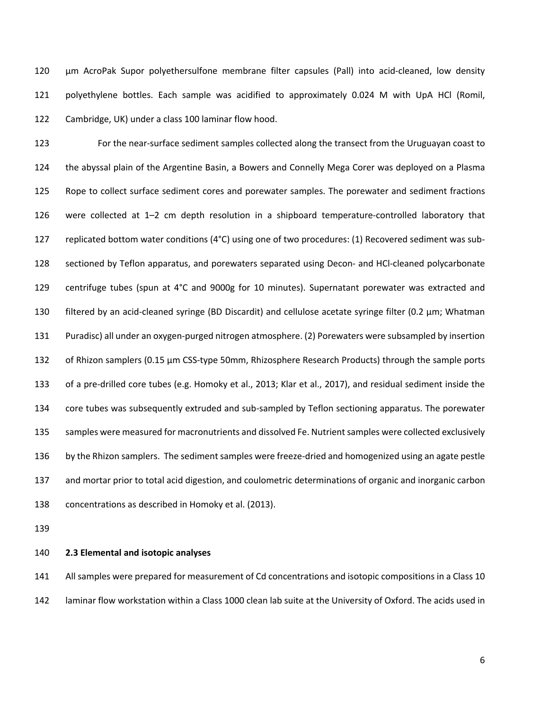µm AcroPak Supor polyethersulfone membrane filter capsules (Pall) into acid-cleaned, low density polyethylene bottles. Each sample was acidified to approximately 0.024 M with UpA HCl (Romil, Cambridge, UK) under a class 100 laminar flow hood.

 For the near-surface sediment samples collected along the transect from the Uruguayan coast to the abyssal plain of the Argentine Basin, a Bowers and Connelly Mega Corer was deployed on a Plasma Rope to collect surface sediment cores and porewater samples. The porewater and sediment fractions were collected at 1–2 cm depth resolution in a shipboard temperature-controlled laboratory that replicated bottom water conditions (4°C) using one of two procedures: (1) Recovered sediment was sub- sectioned by Teflon apparatus, and porewaters separated using Decon- and HCl-cleaned polycarbonate centrifuge tubes (spun at 4°C and 9000g for 10 minutes). Supernatant porewater was extracted and filtered by an acid-cleaned syringe (BD Discardit) and cellulose acetate syringe filter (0.2 µm; Whatman Puradisc) all under an oxygen-purged nitrogen atmosphere. (2) Porewaters were subsampled by insertion 132 of Rhizon samplers (0.15 µm CSS-type 50mm, Rhizosphere Research Products) through the sample ports of a pre-drilled core tubes (e.g. Homoky et al., 2013; Klar et al., 2017), and residual sediment inside the core tubes was subsequently extruded and sub-sampled by Teflon sectioning apparatus. The porewater samples were measured for macronutrients and dissolved Fe. Nutrient samples were collected exclusively by the Rhizon samplers. The sediment samples were freeze-dried and homogenized using an agate pestle and mortar prior to total acid digestion, and coulometric determinations of organic and inorganic carbon concentrations as described in Homoky et al. (2013).

### **2.3 Elemental and isotopic analyses**

 All samples were prepared for measurement of Cd concentrations and isotopic compositions in a Class 10 laminar flow workstation within a Class 1000 clean lab suite at the University of Oxford. The acids used in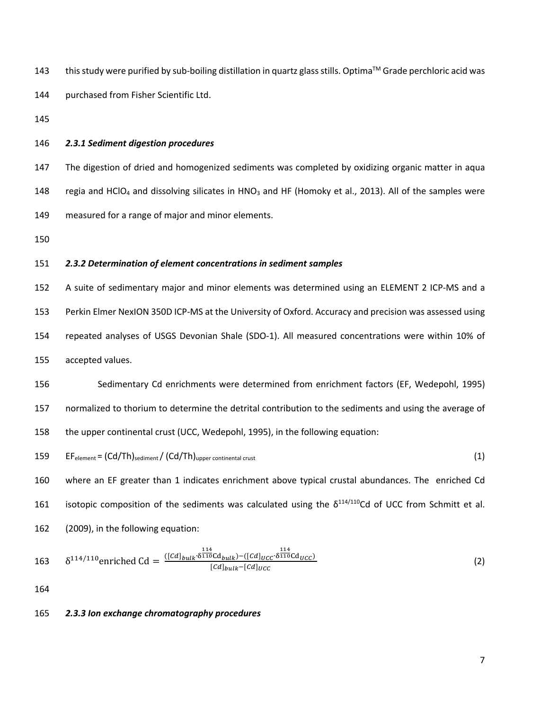| 143 | this study were purified by sub-boiling distillation in quartz glass stills. Optima™ Grade perchloric acid was |
|-----|----------------------------------------------------------------------------------------------------------------|
| 144 | purchased from Fisher Scientific Ltd.                                                                          |

### *2.3.1 Sediment digestion procedures*

 The digestion of dried and homogenized sediments was completed by oxidizing organic matter in aqua 148 regia and HClO<sub>4</sub> and dissolving silicates in HNO<sub>3</sub> and HF (Homoky et al., 2013). All of the samples were measured for a range of major and minor elements.

## *2.3.2 Determination of element concentrations in sediment samples*

 A suite of sedimentary major and minor elements was determined using an ELEMENT 2 ICP-MS and a Perkin Elmer NexION 350D ICP-MS at the University of Oxford. Accuracy and precision was assessed using repeated analyses of USGS Devonian Shale (SDO-1). All measured concentrations were within 10% of accepted values.

 Sedimentary Cd enrichments were determined from enrichment factors (EF, Wedepohl, 1995) normalized to thorium to determine the detrital contribution to the sediments and using the average of the upper continental crust (UCC, Wedepohl, 1995), in the following equation:

$$
159 \qquad EF_{element} = (Cd/Th)_{sediment} / (Cd/Th)_{upper\,constant\,crust}
$$
 (1)

 where an EF greater than 1 indicates enrichment above typical crustal abundances. The enriched Cd 161 isotopic composition of the sediments was calculated using the  $\delta^{114/110}$ Cd of UCC from Schmitt et al. (2009), in the following equation:

163 
$$
\delta^{114/110} \text{enriched Cd} = \frac{([Cd]_{bulk} \cdot \delta^{114}_{110} Cd_{bulk}) - ([Cd]_{UCC} \cdot \delta^{114}_{110} Cd_{UCC})}{[Cd]_{bulk} - [Cd]_{UCC}}
$$
(2)

 $\overline{\phantom{a}}$ 

## *2.3.3 Ion exchange chromatography procedures*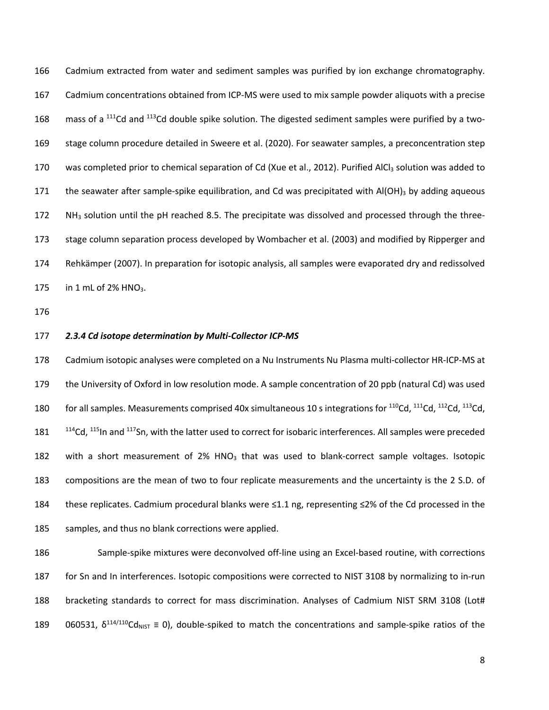Cadmium extracted from water and sediment samples was purified by ion exchange chromatography. Cadmium concentrations obtained from ICP-MS were used to mix sample powder aliquots with a precise 168 mass of a Cd and  $113$ Cd double spike solution. The digested sediment samples were purified by a two- stage column procedure detailed in Sweere et al. (2020). For seawater samples, a preconcentration step 170 was completed prior to chemical separation of Cd (Xue et al., 2012). Purified AlCl<sub>3</sub> solution was added to 171 the seawater after sample-spike equilibration, and Cd was precipitated with  $AI(OH)_3$  by adding aqueous 172  $N$ H<sub>3</sub> solution until the pH reached 8.5. The precipitate was dissolved and processed through the three- stage column separation process developed by Wombacher et al. (2003) and modified by Ripperger and Rehkämper (2007). In preparation for isotopic analysis, all samples were evaporated dry and redissolved 175 in 1 mL of 2% HNO<sub>3</sub>.

#### *2.3.4 Cd isotope determination by Multi-Collector ICP-MS*

 Cadmium isotopic analyses were completed on a Nu Instruments Nu Plasma multi-collector HR-ICP-MS at the University of Oxford in low resolution mode. A sample concentration of 20 ppb (natural Cd) was used 180 for all samples. Measurements comprised 40x simultaneous 10 s integrations for <sup>110</sup>Cd, <sup>111</sup>Cd, <sup>112</sup>Cd, <sup>113</sup>Cd, °Cd,  $115$ In and  $117$ Sn, with the latter used to correct for isobaric interferences. All samples were preceded 182 with a short measurement of 2% HNO<sub>3</sub> that was used to blank-correct sample voltages. Isotopic compositions are the mean of two to four replicate measurements and the uncertainty is the 2 S.D. of these replicates. Cadmium procedural blanks were ≤1.1 ng, representing ≤2% of the Cd processed in the 185 samples, and thus no blank corrections were applied.

 Sample-spike mixtures were deconvolved off-line using an Excel-based routine, with corrections for Sn and In interferences. Isotopic compositions were corrected to NIST 3108 by normalizing to in-run 188 bracketing standards to correct for mass discrimination. Analyses of Cadmium NIST SRM 3108 (Lot# 189 060531,  $\delta^{114/110}$ Cd<sub>NIST</sub> = 0), double-spiked to match the concentrations and sample-spike ratios of the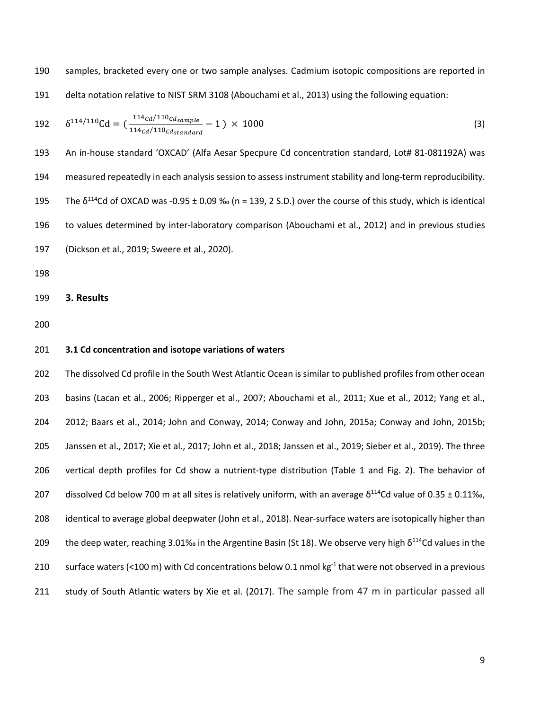samples, bracketed every one or two sample analyses. Cadmium isotopic compositions are reported in delta notation relative to NIST SRM 3108 (Abouchami et al., 2013) using the following equation:

$$
192 \qquad \delta^{114/110} \text{Cd} = \left( \frac{114 \, \text{cd}}{114 \, \text{cd}/110 \, \text{cd}} - 1 \right) \times 1000 \tag{3}
$$

 An in-house standard 'OXCAD' (Alfa Aesar Specpure Cd concentration standard, Lot# 81-081192A) was measured repeatedly in each analysis session to assess instrument stability and long-term reproducibility. 195 The  $\delta^{114}$ Cd of OXCAD was -0.95  $\pm$  0.09 ‰ (n = 139, 2 S.D.) over the course of this study, which is identical to values determined by inter-laboratory comparison (Abouchami et al., 2012) and in previous studies (Dickson et al., 2019; Sweere et al., 2020).

**3. Results**

#### **3.1 Cd concentration and isotope variations of waters**

 The dissolved Cd profile in the South West Atlantic Ocean is similar to published profiles from other ocean basins (Lacan et al., 2006; Ripperger et al., 2007; Abouchami et al., 2011; Xue et al., 2012; Yang et al., 2012; Baars et al., 2014; John and Conway, 2014; Conway and John, 2015a; Conway and John, 2015b; Janssen et al., 2017; Xie et al., 2017; John et al., 2018; Janssen et al., 2019; Sieber et al., 2019). The three vertical depth profiles for Cd show a nutrient-type distribution (Table 1 and Fig. 2). The behavior of 207 dissolved Cd below 700 m at all sites is relatively uniform, with an average  $\delta^{114}$ Cd value of 0.35 ± 0.11‰, identical to average global deepwater (John et al., 2018). Near-surface waters are isotopically higher than 209 the deep water, reaching 3.01‰ in the Argentine Basin (St 18). We observe very high  $\delta^{114}$ Cd values in the 210 surface waters (<100 m) with Cd concentrations below 0.1 nmol kg $^{-1}$  that were not observed in a previous study of South Atlantic waters by Xie et al. (2017). The sample from 47 m in particular passed all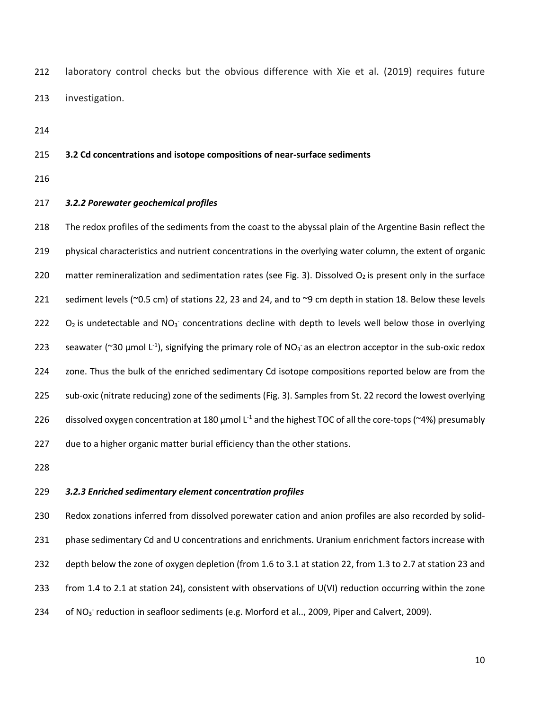laboratory control checks but the obvious difference with Xie et al. (2019) requires future investigation.

#### **3.2 Cd concentrations and isotope compositions of near-surface sediments**

## *3.2.2 Porewater geochemical profiles*

 The redox profiles of the sediments from the coast to the abyssal plain of the Argentine Basin reflect the physical characteristics and nutrient concentrations in the overlying water column, the extent of organic 220 matter remineralization and sedimentation rates (see Fig. 3). Dissolved  $O_2$  is present only in the surface sediment levels (~0.5 cm) of stations 22, 23 and 24, and to ~9 cm depth in station 18. Below these levels  $O_2$  is undetectable and NO<sub>3</sub> concentrations decline with depth to levels well below those in overlying 223 seawater (~30 µmol  $L^{-1}$ ), signifying the primary role of NO<sub>3</sub> as an electron acceptor in the sub-oxic redox zone. Thus the bulk of the enriched sedimentary Cd isotope compositions reported below are from the sub-oxic (nitrate reducing) zone of the sediments (Fig. 3). Samples from St. 22 record the lowest overlying 226 dissolved oxygen concentration at 180  $\mu$ mol L<sup>-1</sup> and the highest TOC of all the core-tops (~4%) presumably due to a higher organic matter burial efficiency than the other stations.

#### *3.2.3 Enriched sedimentary element concentration profiles*

 Redox zonations inferred from dissolved porewater cation and anion profiles are also recorded by solid- phase sedimentary Cd and U concentrations and enrichments. Uranium enrichment factors increase with depth below the zone of oxygen depletion (from 1.6 to 3.1 at station 22, from 1.3 to 2.7 at station 23 and from 1.4 to 2.1 at station 24), consistent with observations of U(VI) reduction occurring within the zone 234 of NO<sub>3</sub> reduction in seafloor sediments (e.g. Morford et al.., 2009, Piper and Calvert, 2009).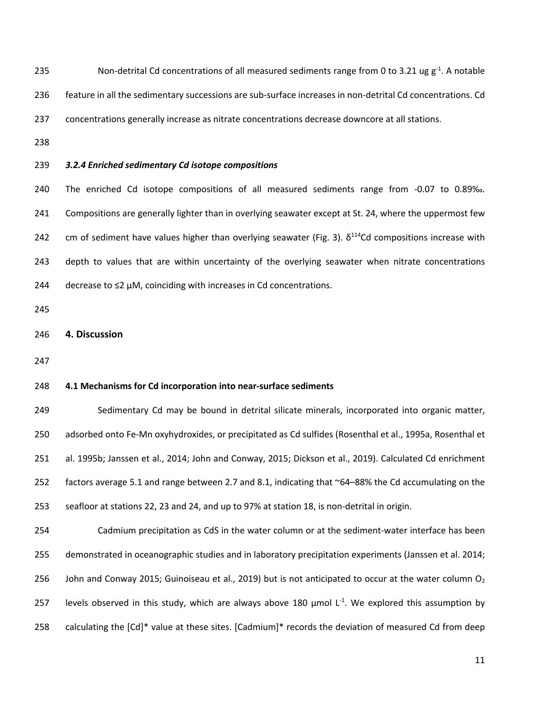235 Non-detrital Cd concentrations of all measured sediments range from 0 to 3.21 ug  $g^{-1}$ . A notable feature in all the sedimentary successions are sub-surface increases in non-detrital Cd concentrations. Cd concentrations generally increase as nitrate concentrations decrease downcore at all stations. *3.2.4 Enriched sedimentary Cd isotope compositions* The enriched Cd isotope compositions of all measured sediments range from -0.07 to 0.89‰. Compositions are generally lighter than in overlying seawater except at St. 24, where the uppermost few 242 cm of sediment have values higher than overlying seawater (Fig. 3).  $\delta^{114}$ Cd compositions increase with depth to values that are within uncertainty of the overlying seawater when nitrate concentrations 244 decrease to  $\leq$ 2 µM, coinciding with increases in Cd concentrations. **4. Discussion 4.1 Mechanisms for Cd incorporation into near-surface sediments**  Sedimentary Cd may be bound in detrital silicate minerals, incorporated into organic matter, adsorbed onto Fe-Mn oxyhydroxides, or precipitated as Cd sulfides (Rosenthal et al., 1995a, Rosenthal et al. 1995b; Janssen et al., 2014; John and Conway, 2015; Dickson et al., 2019). Calculated Cd enrichment 252 factors average 5.1 and range between 2.7 and 8.1, indicating that ~64–88% the Cd accumulating on the

 Cadmium precipitation as CdS in the water column or at the sediment-water interface has been demonstrated in oceanographic studies and in laboratory precipitation experiments (Janssen et al. 2014; 256 John and Conway 2015; Guinoiseau et al., 2019) but is not anticipated to occur at the water column  $O_2$ 257 levels observed in this study, which are always above 180  $\mu$ mol L<sup>-1</sup>. We explored this assumption by calculating the [Cd]\* value at these sites. [Cadmium]\* records the deviation of measured Cd from deep

seafloor at stations 22, 23 and 24, and up to 97% at station 18, is non-detrital in origin.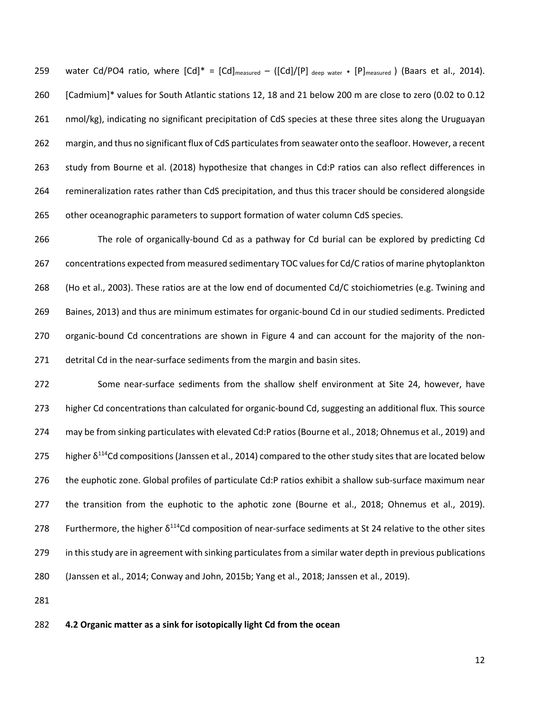259 water Cd/PO4 ratio, where  $[Cd]^* = [Cd]_{measured} - ([Cd]/[P]_{deep water} \cdot [P]_{measured})$  (Baars et al., 2014). [Cadmium]\* values for South Atlantic stations 12, 18 and 21 below 200 m are close to zero (0.02 to 0.12 nmol/kg), indicating no significant precipitation of CdS species at these three sites along the Uruguayan margin, and thus no significant flux of CdS particulates from seawater onto the seafloor. However, a recent 263 study from Bourne et al. (2018) hypothesize that changes in Cd:P ratios can also reflect differences in remineralization rates rather than CdS precipitation, and thus this tracer should be considered alongside other oceanographic parameters to support formation of water column CdS species.

 The role of organically-bound Cd as a pathway for Cd burial can be explored by predicting Cd concentrations expected from measured sedimentary TOC values for Cd/C ratios of marine phytoplankton (Ho et al., 2003). These ratios are at the low end of documented Cd/C stoichiometries (e.g. Twining and Baines, 2013) and thus are minimum estimates for organic-bound Cd in our studied sediments. Predicted organic-bound Cd concentrations are shown in Figure 4 and can account for the majority of the non-detrital Cd in the near-surface sediments from the margin and basin sites.

272 Some near-surface sediments from the shallow shelf environment at Site 24, however, have higher Cd concentrations than calculated for organic-bound Cd, suggesting an additional flux. This source may be from sinking particulates with elevated Cd:P ratios(Bourne et al., 2018; Ohnemus et al., 2019) and 275 higher  $\delta^{114}$ Cd compositions (Janssen et al., 2014) compared to the other study sites that are located below the euphotic zone. Global profiles of particulate Cd:P ratios exhibit a shallow sub-surface maximum near 277 the transition from the euphotic to the aphotic zone (Bourne et al., 2018; Ohnemus et al., 2019). 278 Furthermore, the higher  $\delta^{114}$ Cd composition of near-surface sediments at St 24 relative to the other sites in this study are in agreement with sinking particulates from a similar water depth in previous publications (Janssen et al., 2014; Conway and John, 2015b; Yang et al., 2018; Janssen et al., 2019).

### **4.2 Organic matter as a sink for isotopically light Cd from the ocean**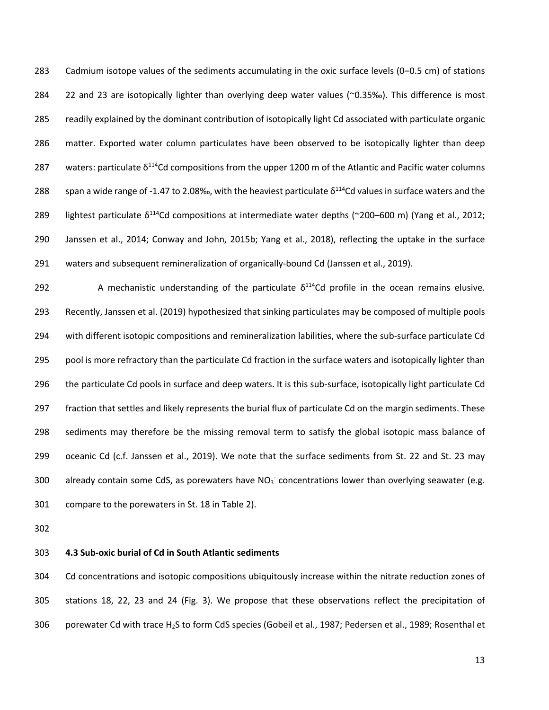Cadmium isotope values of the sediments accumulating in the oxic surface levels (0–0.5 cm) of stations 22 and 23 are isotopically lighter than overlying deep water values (~0.35‰). This difference is most readily explained by the dominant contribution of isotopically light Cd associated with particulate organic matter. Exported water column particulates have been observed to be isotopically lighter than deep 287 waters: particulate  $\delta^{114}$ Cd compositions from the upper 1200 m of the Atlantic and Pacific water columns 288 Span a wide range of -1.47 to 2.08‰, with the heaviest particulate  $\delta^{114}$ Cd values in surface waters and the 289 lightest particulate  $\delta^{114}$ Cd compositions at intermediate water depths (~200–600 m) (Yang et al., 2012; Janssen et al., 2014; Conway and John, 2015b; Yang et al., 2018), reflecting the uptake in the surface waters and subsequent remineralization of organically-bound Cd (Janssen et al., 2019).

292 A mechanistic understanding of the particulate  $\delta^{114}$ Cd profile in the ocean remains elusive. Recently, Janssen et al. (2019) hypothesized that sinking particulates may be composed of multiple pools with different isotopic compositions and remineralization labilities, where the sub-surface particulate Cd 295 pool is more refractory than the particulate Cd fraction in the surface waters and isotopically lighter than 296 the particulate Cd pools in surface and deep waters. It is this sub-surface, isotopically light particulate Cd 297 fraction that settles and likely represents the burial flux of particulate Cd on the margin sediments. These sediments may therefore be the missing removal term to satisfy the global isotopic mass balance of oceanic Cd (c.f. Janssen et al., 2019). We note that the surface sediments from St. 22 and St. 23 may 300 already contain some CdS, as porewaters have  $NO<sub>3</sub>$  concentrations lower than overlying seawater (e.g. compare to the porewaters in St. 18 in Table 2).

## **4.3 Sub-oxic burial of Cd in South Atlantic sediments**

 Cd concentrations and isotopic compositions ubiquitously increase within the nitrate reduction zones of stations 18, 22, 23 and 24 (Fig. 3). We propose that these observations reflect the precipitation of porewater Cd with trace H2S to form CdS species (Gobeil et al., 1987; Pedersen et al., 1989; Rosenthal et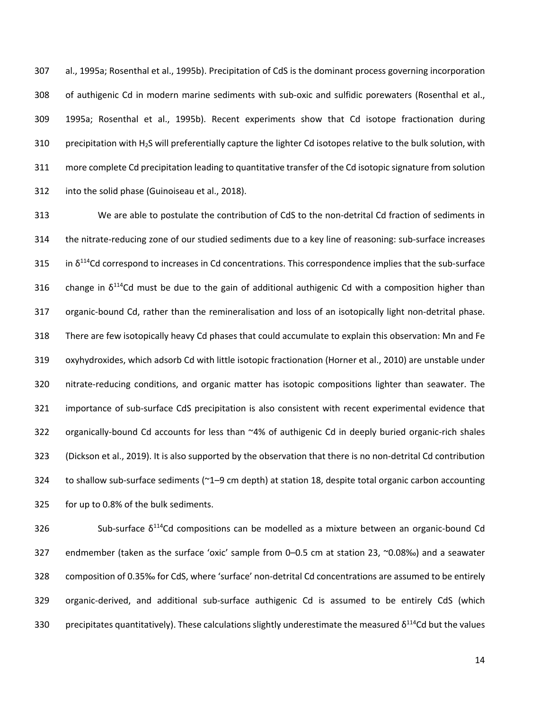al., 1995a; Rosenthal et al., 1995b). Precipitation of CdS is the dominant process governing incorporation of authigenic Cd in modern marine sediments with sub-oxic and sulfidic porewaters (Rosenthal et al., 1995a; Rosenthal et al., 1995b). Recent experiments show that Cd isotope fractionation during precipitation with H2S will preferentially capture the lighter Cd isotopes relative to the bulk solution, with more complete Cd precipitation leading to quantitative transfer of the Cd isotopic signature from solution into the solid phase (Guinoiseau et al., 2018).

 We are able to postulate the contribution of CdS to the non-detrital Cd fraction of sediments in the nitrate-reducing zone of our studied sediments due to a key line of reasoning: sub-surface increases 315 in  $\delta^{114}$ Cd correspond to increases in Cd concentrations. This correspondence implies that the sub-surface 316 change in  $\delta^{114}$ Cd must be due to the gain of additional authigenic Cd with a composition higher than organic-bound Cd, rather than the remineralisation and loss of an isotopically light non-detrital phase. There are few isotopically heavy Cd phases that could accumulate to explain this observation: Mn and Fe oxyhydroxides, which adsorb Cd with little isotopic fractionation (Horner et al., 2010) are unstable under nitrate-reducing conditions, and organic matter has isotopic compositions lighter than seawater. The importance of sub-surface CdS precipitation is also consistent with recent experimental evidence that organically-bound Cd accounts for less than ~4% of authigenic Cd in deeply buried organic-rich shales (Dickson et al., 2019). It is also supported by the observation that there is no non-detrital Cd contribution to shallow sub-surface sediments (~1–9 cm depth) at station 18, despite total organic carbon accounting for up to 0.8% of the bulk sediments.

 Sub-surface  $\delta^{114}$ Cd compositions can be modelled as a mixture between an organic-bound Cd endmember (taken as the surface 'oxic' sample from 0–0.5 cm at station 23, ~0.08‰) and a seawater composition of 0.35‰ for CdS, where 'surface' non-detrital Cd concentrations are assumed to be entirely organic-derived, and additional sub-surface authigenic Cd is assumed to be entirely CdS (which 330 precipitates quantitatively). These calculations slightly underestimate the measured  $\delta^{114}$ Cd but the values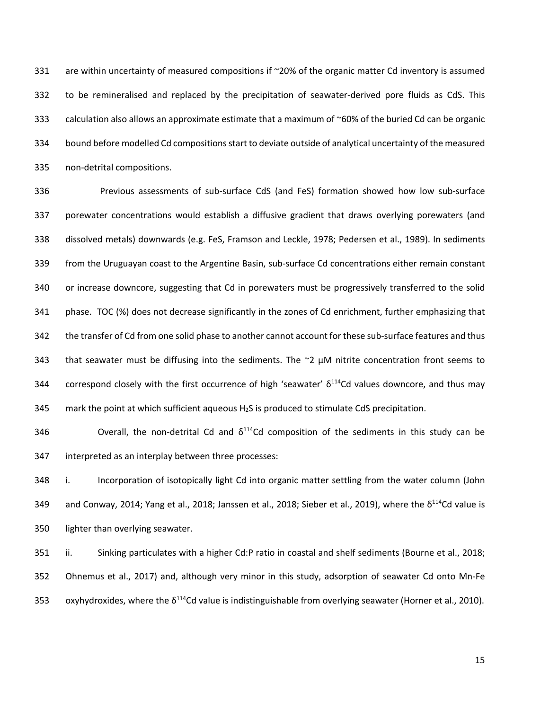331 are within uncertainty of measured compositions if ~20% of the organic matter Cd inventory is assumed to be remineralised and replaced by the precipitation of seawater-derived pore fluids as CdS. This calculation also allows an approximate estimate that a maximum of ~60% of the buried Cd can be organic bound before modelled Cd compositions start to deviate outside of analytical uncertainty of the measured non-detrital compositions.

 Previous assessments of sub-surface CdS (and FeS) formation showed how low sub-surface porewater concentrations would establish a diffusive gradient that draws overlying porewaters (and dissolved metals) downwards (e.g. FeS, Framson and Leckle, 1978; Pedersen et al., 1989). In sediments from the Uruguayan coast to the Argentine Basin, sub-surface Cd concentrations either remain constant or increase downcore, suggesting that Cd in porewaters must be progressively transferred to the solid phase. TOC (%) does not decrease significantly in the zones of Cd enrichment, further emphasizing that the transfer of Cd from one solid phase to another cannot account for these sub-surface features and thus 343 that seawater must be diffusing into the sediments. The  $\approx$   $\mu$ M nitrite concentration front seems to 344 correspond closely with the first occurrence of high 'seawater'  $\delta^{114}$ Cd values downcore, and thus may 345 mark the point at which sufficient aqueous  $H_2S$  is produced to stimulate CdS precipitation.

346 **Stephends** Overall, the non-detrital Cd and  $\delta^{114}$ Cd composition of the sediments in this study can be interpreted as an interplay between three processes:

 i. Incorporation of isotopically light Cd into organic matter settling from the water column (John 349 and Conway, 2014; Yang et al., 2018; Janssen et al., 2018; Sieber et al., 2019), where the  $\delta^{114}$ Cd value is lighter than overlying seawater.

 ii. Sinking particulates with a higher Cd:P ratio in coastal and shelf sediments (Bourne et al., 2018; Ohnemus et al., 2017) and, although very minor in this study, adsorption of seawater Cd onto Mn-Fe 353 oxyhydroxides, where the  $\delta^{114}$ Cd value is indistinguishable from overlying seawater (Horner et al., 2010).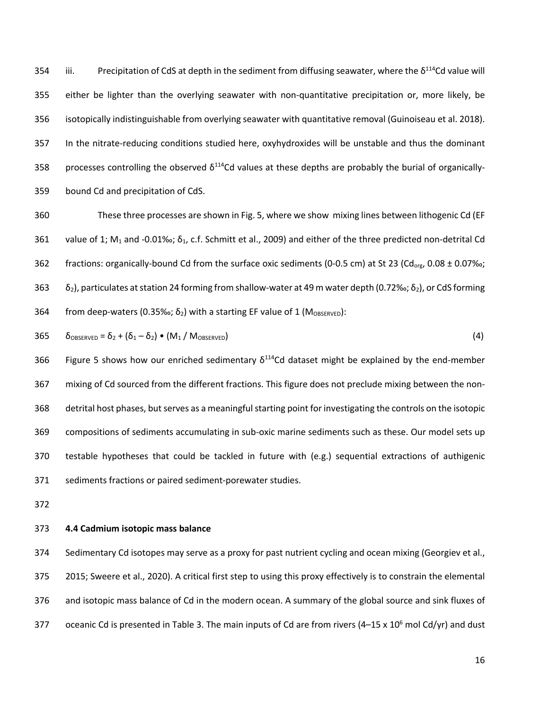354 iii. Precipitation of CdS at depth in the sediment from diffusing seawater, where the  $\delta^{114}$ Cd value will either be lighter than the overlying seawater with non-quantitative precipitation or, more likely, be isotopically indistinguishable from overlying seawater with quantitative removal (Guinoiseau et al. 2018). In the nitrate-reducing conditions studied here, oxyhydroxides will be unstable and thus the dominant 358 processes controlling the observed  $\delta^{114}$ Cd values at these depths are probably the burial of organically-bound Cd and precipitation of CdS.

 These three processes are shown in Fig. 5, where we show mixing lines between lithogenic Cd (EF 361 value of 1; M<sub>1</sub> and -0.01‰;  $\delta_1$ , c.f. Schmitt et al., 2009) and either of the three predicted non-detrital Cd 362 fractions: organically-bound Cd from the surface oxic sediments (0-0.5 cm) at St 23 (Cd<sub>org</sub>, 0.08 ± 0.07‰; 363  $\delta_2$ ), particulates at station 24 forming from shallow-water at 49 m water depth (0.72‰;  $\delta_2$ ), or CdS forming 364 from deep-waters (0.35‰;  $\delta_2$ ) with a starting EF value of 1 (M<sub>OBSERVED</sub>):

$$
365 \qquad \delta_{OBSERVED} = \delta_2 + (\delta_1 - \delta_2) \bullet (M_1 / M_{OBSERVED}) \tag{4}
$$

366 Figure 5 shows how our enriched sedimentary  $\delta^{114}$ Cd dataset might be explained by the end-member mixing of Cd sourced from the different fractions. This figure does not preclude mixing between the non- detrital host phases, but serves as a meaningful starting point for investigating the controls on the isotopic compositions of sediments accumulating in sub-oxic marine sediments such as these. Our model sets up testable hypotheses that could be tackled in future with (e.g.) sequential extractions of authigenic sediments fractions or paired sediment-porewater studies.

## **4.4 Cadmium isotopic mass balance**

 Sedimentary Cd isotopes may serve as a proxy for past nutrient cycling and ocean mixing (Georgiev et al., 2015; Sweere et al., 2020). A critical first step to using this proxy effectively is to constrain the elemental 376 and isotopic mass balance of Cd in the modern ocean. A summary of the global source and sink fluxes of 377 oceanic Cd is presented in Table 3. The main inputs of Cd are from rivers (4–15 x 10<sup>6</sup> mol Cd/yr) and dust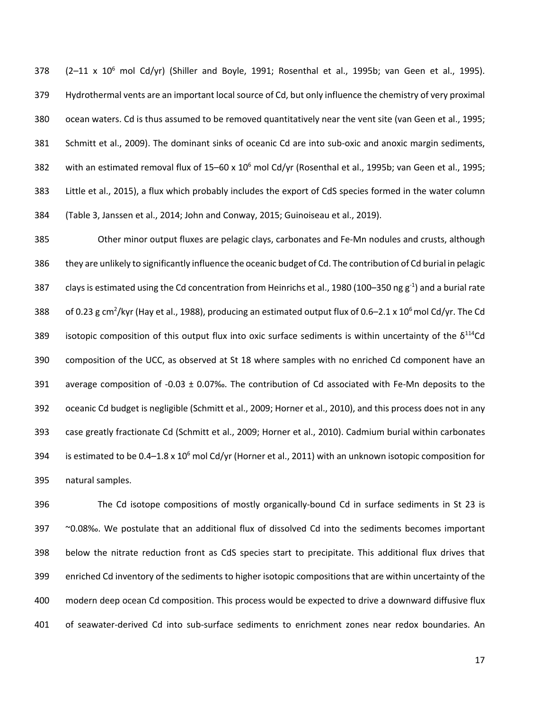$(2-11 \times 10^6 \text{ mol } Cd/yr)$  (Shiller and Boyle, 1991; Rosenthal et al., 1995b; van Geen et al., 1995). Hydrothermal vents are an important local source of Cd, but only influence the chemistry of very proximal ocean waters. Cd is thus assumed to be removed quantitatively near the vent site (van Geen et al., 1995; Schmitt et al., 2009). The dominant sinks of oceanic Cd are into sub-oxic and anoxic margin sediments, 382 with an estimated removal flux of  $15-60 \times 10^6$  mol Cd/yr (Rosenthal et al., 1995b; van Geen et al., 1995; Little et al., 2015), a flux which probably includes the export of CdS species formed in the water column (Table 3, Janssen et al., 2014; John and Conway, 2015; Guinoiseau et al., 2019).

 Other minor output fluxes are pelagic clays, carbonates and Fe-Mn nodules and crusts, although they are unlikely to significantly influence the oceanic budget of Cd. The contribution of Cd burial in pelagic 387 clays is estimated using the Cd concentration from Heinrichs et al., 1980 (100–350 ng  $g^{-1}$ ) and a burial rate 388 of 0.23 g cm<sup>2</sup>/kyr (Hay et al., 1988), producing an estimated output flux of 0.6–2.1 x 10<sup>6</sup> mol Cd/yr. The Cd 389 isotopic composition of this output flux into oxic surface sediments is within uncertainty of the  $\delta^{114}$ Cd composition of the UCC, as observed at St 18 where samples with no enriched Cd component have an average composition of -0.03 ± 0.07‰. The contribution of Cd associated with Fe-Mn deposits to the oceanic Cd budget is negligible (Schmitt et al., 2009; Horner et al., 2010), and this process does not in any case greatly fractionate Cd (Schmitt et al., 2009; Horner et al., 2010). Cadmium burial within carbonates 394 is estimated to be  $0.4-1.8 \times 10^6$  mol Cd/yr (Horner et al., 2011) with an unknown isotopic composition for natural samples.

 The Cd isotope compositions of mostly organically-bound Cd in surface sediments in St 23 is ~0.08‰. We postulate that an additional flux of dissolved Cd into the sediments becomes important below the nitrate reduction front as CdS species start to precipitate. This additional flux drives that enriched Cd inventory of the sediments to higher isotopic compositions that are within uncertainty of the modern deep ocean Cd composition. This process would be expected to drive a downward diffusive flux of seawater-derived Cd into sub-surface sediments to enrichment zones near redox boundaries. An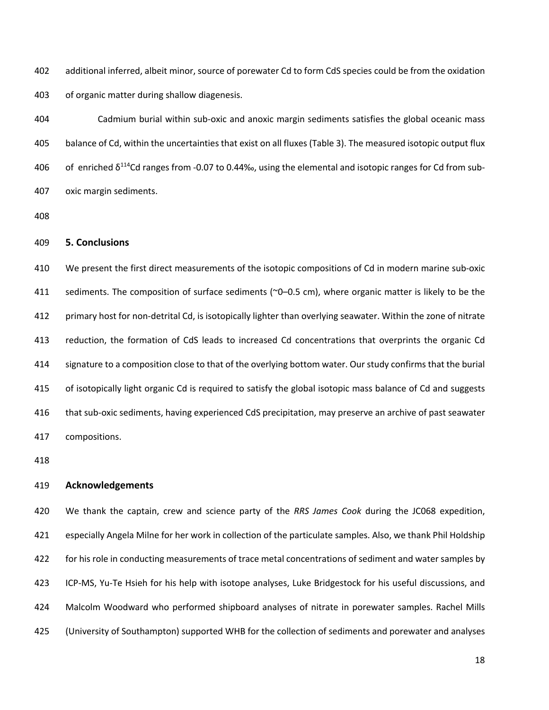additional inferred, albeit minor, source of porewater Cd to form CdS species could be from the oxidation of organic matter during shallow diagenesis.

 Cadmium burial within sub-oxic and anoxic margin sediments satisfies the global oceanic mass balance of Cd, within the uncertainties that exist on all fluxes (Table 3). The measured isotopic output flux 406 of enriched  $\delta^{114}$ Cd ranges from -0.07 to 0.44‰, using the elemental and isotopic ranges for Cd from sub-oxic margin sediments.

# **5. Conclusions**

 We present the first direct measurements of the isotopic compositions of Cd in modern marine sub-oxic 411 sediments. The composition of surface sediments (~0–0.5 cm), where organic matter is likely to be the primary host for non-detrital Cd, is isotopically lighter than overlying seawater. Within the zone of nitrate reduction, the formation of CdS leads to increased Cd concentrations that overprints the organic Cd signature to a composition close to that of the overlying bottom water. Our study confirms that the burial of isotopically light organic Cd is required to satisfy the global isotopic mass balance of Cd and suggests that sub-oxic sediments, having experienced CdS precipitation, may preserve an archive of past seawater compositions.

#### **Acknowledgements**

 We thank the captain, crew and science party of the *RRS James Cook* during the JC068 expedition, especially Angela Milne for her work in collection of the particulate samples. Also, we thank Phil Holdship for his role in conducting measurements of trace metal concentrations of sediment and water samples by ICP-MS, Yu-Te Hsieh for his help with isotope analyses, Luke Bridgestock for his useful discussions, and Malcolm Woodward who performed shipboard analyses of nitrate in porewater samples. Rachel Mills (University of Southampton) supported WHB for the collection of sediments and porewater and analyses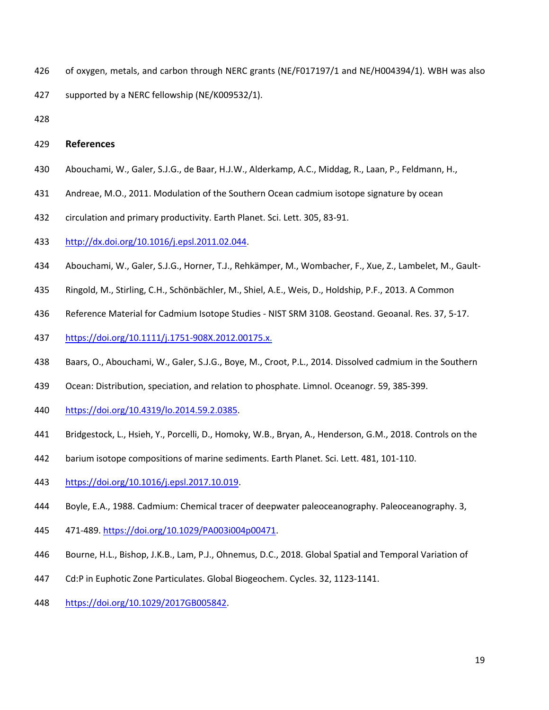- of oxygen, metals, and carbon through NERC grants (NE/F017197/1 and NE/H004394/1). WBH was also
- supported by a NERC fellowship (NE/K009532/1).
- 

## **References**

- Abouchami, W., Galer, S.J.G., de Baar, H.J.W., Alderkamp, A.C., Middag, R., Laan, P., Feldmann, H.,
- Andreae, M.O., 2011. Modulation of the Southern Ocean cadmium isotope signature by ocean
- circulation and primary productivity. Earth Planet. Sci. Lett. 305, 83-91.
- http://dx.doi.org/10.1016/j.epsl.2011.02.044.
- Abouchami, W., Galer, S.J.G., Horner, T.J., Rehkӓmper, M., Wombacher, F., Xue, Z., Lambelet, M., Gault-
- Ringold, M., Stirling, C.H., Schönbӓchler, M., Shiel, A.E., Weis, D., Holdship, P.F., 2013. A Common
- Reference Material for Cadmium Isotope Studies NIST SRM 3108. Geostand. Geoanal. Res. 37, 5-17.
- https://doi.org/10.1111/j.1751-908X.2012.00175.x.
- Baars, O., Abouchami, W., Galer, S.J.G., Boye, M., Croot, P.L., 2014. Dissolved cadmium in the Southern
- Ocean: Distribution, speciation, and relation to phosphate. Limnol. Oceanogr. 59, 385-399.
- https://doi.org/10.4319/lo.2014.59.2.0385.
- Bridgestock, L., Hsieh, Y., Porcelli, D., Homoky, W.B., Bryan, A., Henderson, G.M., 2018. Controls on the
- barium isotope compositions of marine sediments. Earth Planet. Sci. Lett. 481, 101-110.
- https://doi.org/10.1016/j.epsl.2017.10.019.
- Boyle, E.A., 1988. Cadmium: Chemical tracer of deepwater paleoceanography. Paleoceanography. 3,
- 471-489. https://doi.org/10.1029/PA003i004p00471.
- Bourne, H.L., Bishop, J.K.B., Lam, P.J., Ohnemus, D.C., 2018. Global Spatial and Temporal Variation of
- Cd:P in Euphotic Zone Particulates. Global Biogeochem. Cycles. 32, 1123-1141.
- https://doi.org/10.1029/2017GB005842.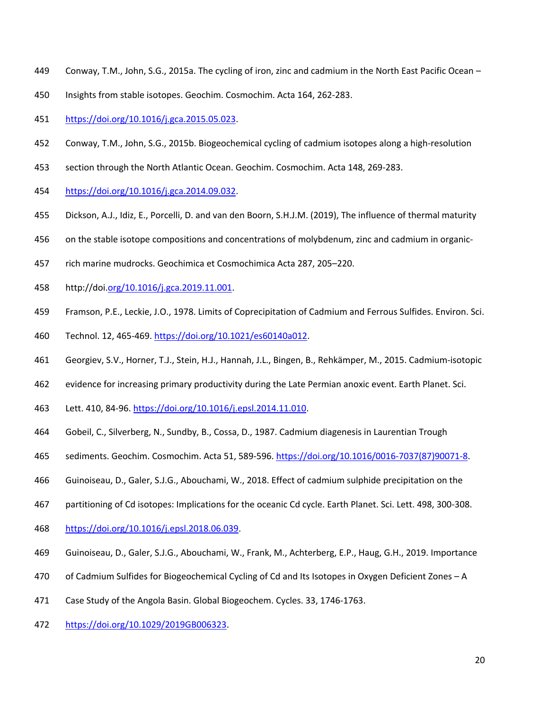- Conway, T.M., John, S.G., 2015a. The cycling of iron, zinc and cadmium in the North East Pacific Ocean –
- Insights from stable isotopes. Geochim. Cosmochim. Acta 164, 262-283.
- https://doi.org/10.1016/j.gca.2015.05.023.
- Conway, T.M., John, S.G., 2015b. Biogeochemical cycling of cadmium isotopes along a high-resolution
- section through the North Atlantic Ocean. Geochim. Cosmochim. Acta 148, 269-283.
- https://doi.org/10.1016/j.gca.2014.09.032.
- Dickson, A.J., Idiz, E., Porcelli, D. and van den Boorn, S.H.J.M. (2019), The influence of thermal maturity
- on the stable isotope compositions and concentrations of molybdenum, zinc and cadmium in organic-
- rich marine mudrocks. Geochimica et Cosmochimica Acta 287, 205–220.
- http://doi.org/10.1016/j.gca.2019.11.001.
- Framson, P.E., Leckie, J.O., 1978. Limits of Coprecipitation of Cadmium and Ferrous Sulfides. Environ. Sci.
- Technol. 12, 465-469. https://doi.org/10.1021/es60140a012.
- Georgiev, S.V., Horner, T.J., Stein, H.J., Hannah, J.L., Bingen, B., Rehkӓmper, M., 2015. Cadmium-isotopic
- evidence for increasing primary productivity during the Late Permian anoxic event. Earth Planet. Sci.
- Lett. 410, 84-96. https://doi.org/10.1016/j.epsl.2014.11.010.
- Gobeil, C., Silverberg, N., Sundby, B., Cossa, D., 1987. Cadmium diagenesis in Laurentian Trough
- sediments. Geochim. Cosmochim. Acta 51, 589-596. https://doi.org/10.1016/0016-7037(87)90071-8.
- Guinoiseau, D., Galer, S.J.G., Abouchami, W., 2018. Effect of cadmium sulphide precipitation on the
- partitioning of Cd isotopes: Implications for the oceanic Cd cycle. Earth Planet. Sci. Lett. 498, 300-308.
- https://doi.org/10.1016/j.epsl.2018.06.039.
- Guinoiseau, D., Galer, S.J.G., Abouchami, W., Frank, M., Achterberg, E.P., Haug, G.H., 2019. Importance
- of Cadmium Sulfides for Biogeochemical Cycling of Cd and Its Isotopes in Oxygen Deficient Zones A
- Case Study of the Angola Basin. Global Biogeochem. Cycles. 33, 1746-1763.
- https://doi.org/10.1029/2019GB006323.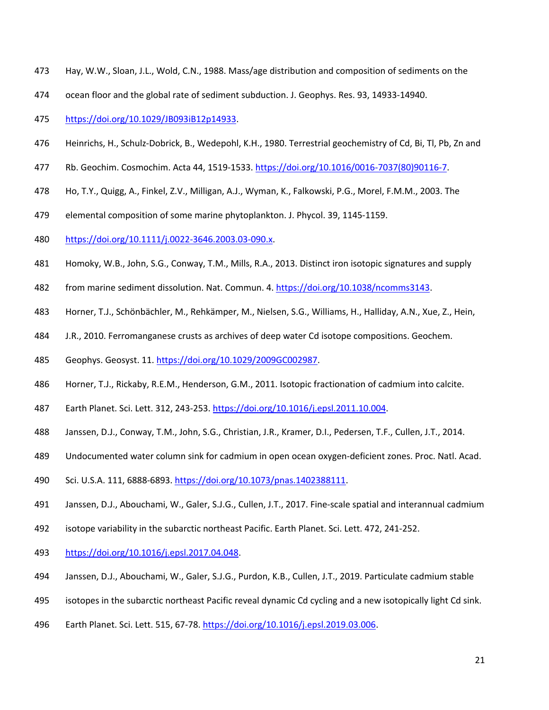- Hay, W.W., Sloan, J.L., Wold, C.N., 1988. Mass/age distribution and composition of sediments on the
- ocean floor and the global rate of sediment subduction. J. Geophys. Res. 93, 14933-14940.
- https://doi.org/10.1029/JB093iB12p14933.
- Heinrichs, H., Schulz-Dobrick, B., Wedepohl, K.H., 1980. Terrestrial geochemistry of Cd, Bi, Tl, Pb, Zn and
- Rb. Geochim. Cosmochim. Acta 44, 1519-1533. https://doi.org/10.1016/0016-7037(80)90116-7.
- Ho, T.Y., Quigg, A., Finkel, Z.V., Milligan, A.J., Wyman, K., Falkowski, P.G., Morel, F.M.M., 2003. The
- elemental composition of some marine phytoplankton. J. Phycol. 39, 1145-1159.
- https://doi.org/10.1111/j.0022-3646.2003.03-090.x.
- Homoky, W.B., John, S.G., Conway, T.M., Mills, R.A., 2013. Distinct iron isotopic signatures and supply
- from marine sediment dissolution. Nat. Commun. 4. https://doi.org/10.1038/ncomms3143.
- Horner, T.J., Schönbӓchler, M., Rehkӓmper, M., Nielsen, S.G., Williams, H., Halliday, A.N., Xue, Z., Hein,
- J.R., 2010. Ferromanganese crusts as archives of deep water Cd isotope compositions. Geochem.
- Geophys. Geosyst. 11. https://doi.org/10.1029/2009GC002987.
- Horner, T.J., Rickaby, R.E.M., Henderson, G.M., 2011. Isotopic fractionation of cadmium into calcite.
- Earth Planet. Sci. Lett. 312, 243-253. https://doi.org/10.1016/j.epsl.2011.10.004.
- Janssen, D.J., Conway, T.M., John, S.G., Christian, J.R., Kramer, D.I., Pedersen, T.F., Cullen, J.T., 2014.
- Undocumented water column sink for cadmium in open ocean oxygen-deficient zones. Proc. Natl. Acad.
- Sci. U.S.A. 111, 6888-6893. https://doi.org/10.1073/pnas.1402388111.
- Janssen, D.J., Abouchami, W., Galer, S.J.G., Cullen, J.T., 2017. Fine-scale spatial and interannual cadmium
- isotope variability in the subarctic northeast Pacific. Earth Planet. Sci. Lett. 472, 241-252.
- https://doi.org/10.1016/j.epsl.2017.04.048.
- Janssen, D.J., Abouchami, W., Galer, S.J.G., Purdon, K.B., Cullen, J.T., 2019. Particulate cadmium stable
- isotopes in the subarctic northeast Pacific reveal dynamic Cd cycling and a new isotopically light Cd sink.
- 496 Earth Planet. Sci. Lett. 515, 67-78. https://doi.org/10.1016/j.epsl.2019.03.006.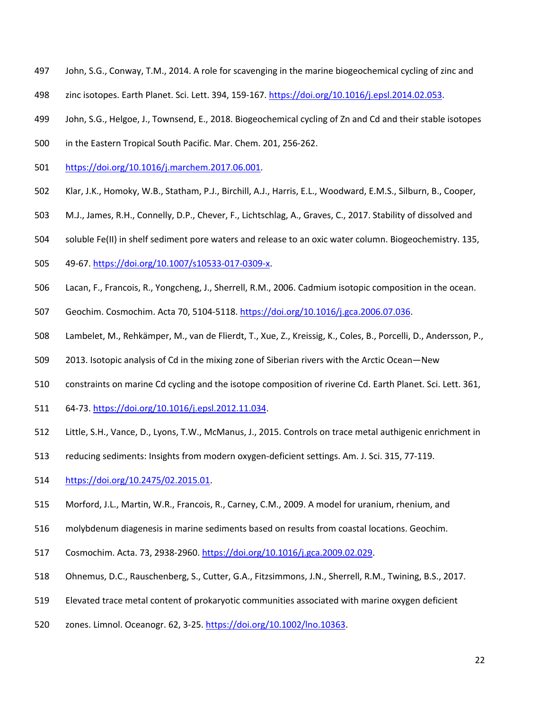- John, S.G., Conway, T.M., 2014. A role for scavenging in the marine biogeochemical cycling of zinc and
- zinc isotopes. Earth Planet. Sci. Lett. 394, 159-167. https://doi.org/10.1016/j.epsl.2014.02.053.
- John, S.G., Helgoe, J., Townsend, E., 2018. Biogeochemical cycling of Zn and Cd and their stable isotopes
- in the Eastern Tropical South Pacific. Mar. Chem. 201, 256-262.
- https://doi.org/10.1016/j.marchem.2017.06.001.
- Klar, J.K., Homoky, W.B., Statham, P.J., Birchill, A.J., Harris, E.L., Woodward, E.M.S., Silburn, B., Cooper,
- M.J., James, R.H., Connelly, D.P., Chever, F., Lichtschlag, A., Graves, C., 2017. Stability of dissolved and
- soluble Fe(II) in shelf sediment pore waters and release to an oxic water column. Biogeochemistry. 135,
- 49-67. https://doi.org/10.1007/s10533-017-0309-x.
- Lacan, F., Francois, R., Yongcheng, J., Sherrell, R.M., 2006. Cadmium isotopic composition in the ocean.
- Geochim. Cosmochim. Acta 70, 5104-5118. https://doi.org/10.1016/j.gca.2006.07.036.
- Lambelet, M., Rehkӓmper, M., van de Flierdt, T., Xue, Z., Kreissig, K., Coles, B., Porcelli, D., Andersson, P.,
- 2013. Isotopic analysis of Cd in the mixing zone of Siberian rivers with the Arctic Ocean—New
- constraints on marine Cd cycling and the isotope composition of riverine Cd. Earth Planet. Sci. Lett. 361,
- 64-73. https://doi.org/10.1016/j.epsl.2012.11.034.
- Little, S.H., Vance, D., Lyons, T.W., McManus, J., 2015. Controls on trace metal authigenic enrichment in
- reducing sediments: Insights from modern oxygen-deficient settings. Am. J. Sci. 315, 77-119.
- https://doi.org/10.2475/02.2015.01.
- Morford, J.L., Martin, W.R., Francois, R., Carney, C.M., 2009. A model for uranium, rhenium, and
- molybdenum diagenesis in marine sediments based on results from coastal locations. Geochim.
- Cosmochim. Acta. 73, 2938-2960. https://doi.org/10.1016/j.gca.2009.02.029.
- Ohnemus, D.C., Rauschenberg, S., Cutter, G.A., Fitzsimmons, J.N., Sherrell, R.M., Twining, B.S., 2017.
- Elevated trace metal content of prokaryotic communities associated with marine oxygen deficient
- zones. Limnol. Oceanogr. 62, 3-25. https://doi.org/10.1002/lno.10363.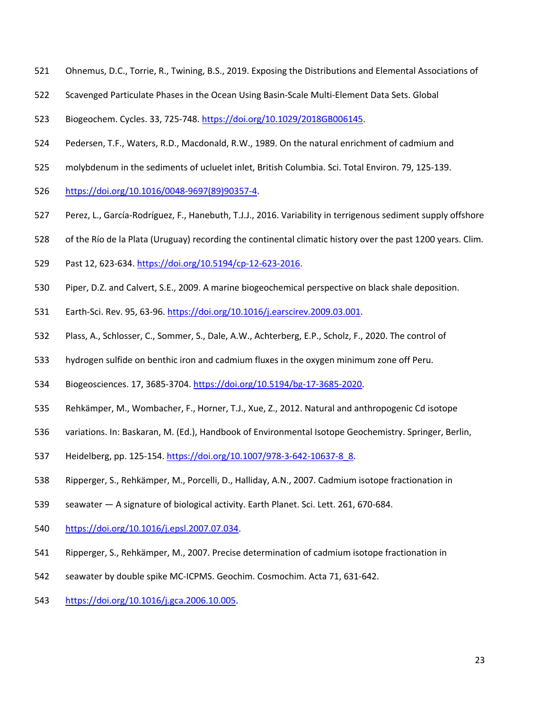- Ohnemus, D.C., Torrie, R., Twining, B.S., 2019. Exposing the Distributions and Elemental Associations of
- Scavenged Particulate Phases in the Ocean Using Basin-Scale Multi-Element Data Sets. Global
- Biogeochem. Cycles. 33, 725-748. https://doi.org/10.1029/2018GB006145.
- Pedersen, T.F., Waters, R.D., Macdonald, R.W., 1989. On the natural enrichment of cadmium and
- molybdenum in the sediments of ucluelet inlet, British Columbia. Sci. Total Environ. 79, 125-139.
- https://doi.org/10.1016/0048-9697(89)90357-4.
- Perez, L., García-Rodríguez, F., Hanebuth, T.J.J., 2016. Variability in terrigenous sediment supply offshore
- of the Río de la Plata (Uruguay) recording the continental climatic history over the past 1200 years. Clim.
- Past 12, 623-634. https://doi.org/10.5194/cp-12-623-2016.
- Piper, D.Z. and Calvert, S.E., 2009. A marine biogeochemical perspective on black shale deposition.
- Earth-Sci. Rev. 95, 63-96. https://doi.org/10.1016/j.earscirev.2009.03.001.
- Plass, A., Schlosser, C., Sommer, S., Dale, A.W., Achterberg, E.P., Scholz, F., 2020. The control of
- hydrogen sulfide on benthic iron and cadmium fluxes in the oxygen minimum zone off Peru.
- Biogeosciences. 17, 3685-3704. https://doi.org/10.5194/bg-17-3685-2020.
- Rehkӓmper, M., Wombacher, F., Horner, T.J., Xue, Z., 2012. Natural and anthropogenic Cd isotope
- variations. In: Baskaran, M. (Ed.), Handbook of Environmental Isotope Geochemistry. Springer, Berlin,
- Heidelberg, pp. 125-154. https://doi.org/10.1007/978-3-642-10637-8\_8.
- Ripperger, S., Rehkӓmper, M., Porcelli, D., Halliday, A.N., 2007. Cadmium isotope fractionation in
- seawater A signature of biological activity. Earth Planet. Sci. Lett. 261, 670-684.
- https://doi.org/10.1016/j.epsl.2007.07.034.
- Ripperger, S., Rehkämper, M., 2007. Precise determination of cadmium isotope fractionation in
- seawater by double spike MC-ICPMS. Geochim. Cosmochim. Acta 71, 631-642.
- https://doi.org/10.1016/j.gca.2006.10.005.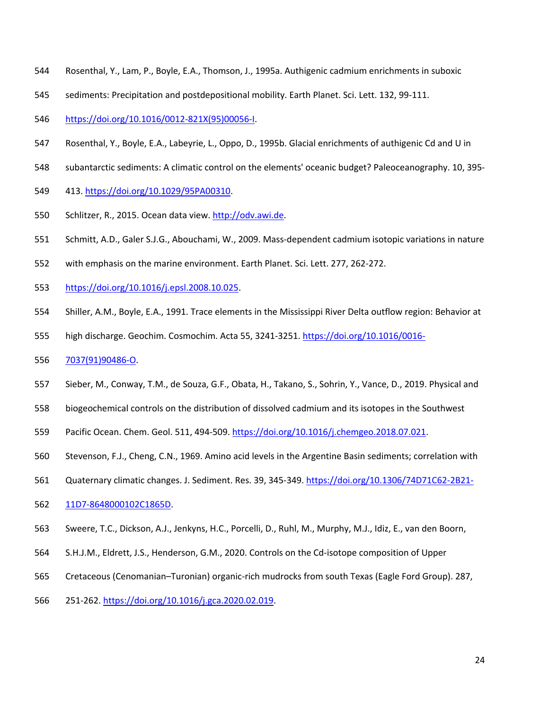- Rosenthal, Y., Lam, P., Boyle, E.A., Thomson, J., 1995a. Authigenic cadmium enrichments in suboxic
- sediments: Precipitation and postdepositional mobility. Earth Planet. Sci. Lett. 132, 99-111.
- https://doi.org/10.1016/0012-821X(95)00056-I.
- Rosenthal, Y., Boyle, E.A., Labeyrie, L., Oppo, D., 1995b. Glacial enrichments of authigenic Cd and U in
- subantarctic sediments: A climatic control on the elements' oceanic budget? Paleoceanography. 10, 395-
- 413. https://doi.org/10.1029/95PA00310.
- 550 Schlitzer, R., 2015. Ocean data view. http://odv.awi.de.
- Schmitt, A.D., Galer S.J.G., Abouchami, W., 2009. Mass-dependent cadmium isotopic variations in nature
- with emphasis on the marine environment. Earth Planet. Sci. Lett. 277, 262-272.
- https://doi.org/10.1016/j.epsl.2008.10.025.
- Shiller, A.M., Boyle, E.A., 1991. Trace elements in the Mississippi River Delta outflow region: Behavior at
- high discharge. Geochim. Cosmochim. Acta 55, 3241-3251. https://doi.org/10.1016/0016-
- 7037(91)90486-O.
- Sieber, M., Conway, T.M., de Souza, G.F., Obata, H., Takano, S., Sohrin, Y., Vance, D., 2019. Physical and
- biogeochemical controls on the distribution of dissolved cadmium and its isotopes in the Southwest
- Pacific Ocean. Chem. Geol. 511, 494-509. https://doi.org/10.1016/j.chemgeo.2018.07.021.
- Stevenson, F.J., Cheng, C.N., 1969. Amino acid levels in the Argentine Basin sediments; correlation with
- 561 Quaternary climatic changes. J. Sediment. Res. 39, 345-349. https://doi.org/10.1306/74D71C62-2B21-
- 11D7-8648000102C1865D.
- Sweere, T.C., Dickson, A.J., Jenkyns, H.C., Porcelli, D., Ruhl, M., Murphy, M.J., Idiz, E., van den Boorn,
- S.H.J.M., Eldrett, J.S., Henderson, G.M., 2020. Controls on the Cd-isotope composition of Upper
- Cretaceous (Cenomanian–Turonian) organic-rich mudrocks from south Texas (Eagle Ford Group). 287,
- 251-262. https://doi.org/10.1016/j.gca.2020.02.019.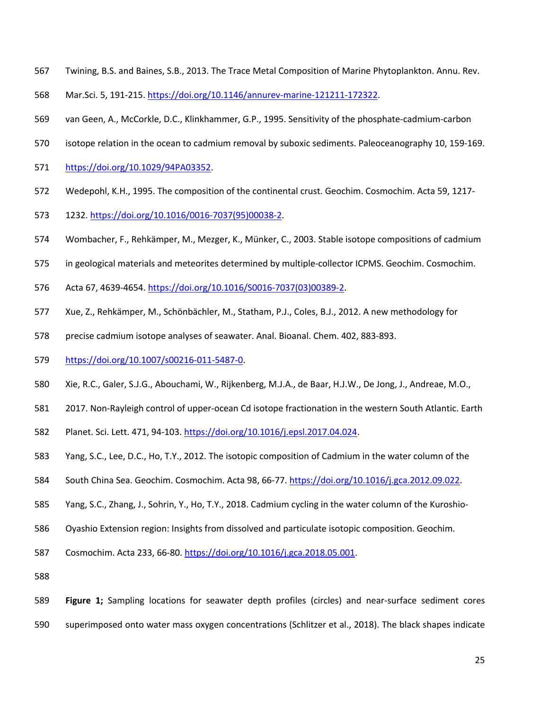- Twining, B.S. and Baines, S.B., 2013. The Trace Metal Composition of Marine Phytoplankton. Annu. Rev.
- Mar.Sci. 5, 191-215. https://doi.org/10.1146/annurev-marine-121211-172322.
- van Geen, A., McCorkle, D.C., Klinkhammer, G.P., 1995. Sensitivity of the phosphate-cadmium-carbon
- isotope relation in the ocean to cadmium removal by suboxic sediments. Paleoceanography 10, 159-169.
- https://doi.org/10.1029/94PA03352.
- Wedepohl, K.H., 1995. The composition of the continental crust. Geochim. Cosmochim. Acta 59, 1217-
- 1232. https://doi.org/10.1016/0016-7037(95)00038-2.
- Wombacher, F., Rehkӓmper, M., Mezger, K., Münker, C., 2003. Stable isotope compositions of cadmium
- in geological materials and meteorites determined by multiple-collector ICPMS. Geochim. Cosmochim.
- Acta 67, 4639-4654. https://doi.org/10.1016/S0016-7037(03)00389-2.
- Xue, Z., Rehkӓmper, M., Schönbӓchler, M., Statham, P.J., Coles, B.J., 2012. A new methodology for
- precise cadmium isotope analyses of seawater. Anal. Bioanal. Chem. 402, 883-893.
- https://doi.org/10.1007/s00216-011-5487-0.
- Xie, R.C., Galer, S.J.G., Abouchami, W., Rijkenberg, M.J.A., de Baar, H.J.W., De Jong, J., Andreae, M.O.,
- 2017. Non-Rayleigh control of upper-ocean Cd isotope fractionation in the western South Atlantic. Earth
- Planet. Sci. Lett. 471, 94-103. https://doi.org/10.1016/j.epsl.2017.04.024.
- Yang, S.C., Lee, D.C., Ho, T.Y., 2012. The isotopic composition of Cadmium in the water column of the
- 584 South China Sea. Geochim. Cosmochim. Acta 98, 66-77. https://doi.org/10.1016/j.gca.2012.09.022.
- Yang, S.C., Zhang, J., Sohrin, Y., Ho, T.Y., 2018. Cadmium cycling in the water column of the Kuroshio-
- Oyashio Extension region: Insights from dissolved and particulate isotopic composition. Geochim.
- Cosmochim. Acta 233, 66-80. https://doi.org/10.1016/j.gca.2018.05.001.

- **Figure 1;** Sampling locations for seawater depth profiles (circles) and near-surface sediment cores
- superimposed onto water mass oxygen concentrations (Schlitzer et al., 2018). The black shapes indicate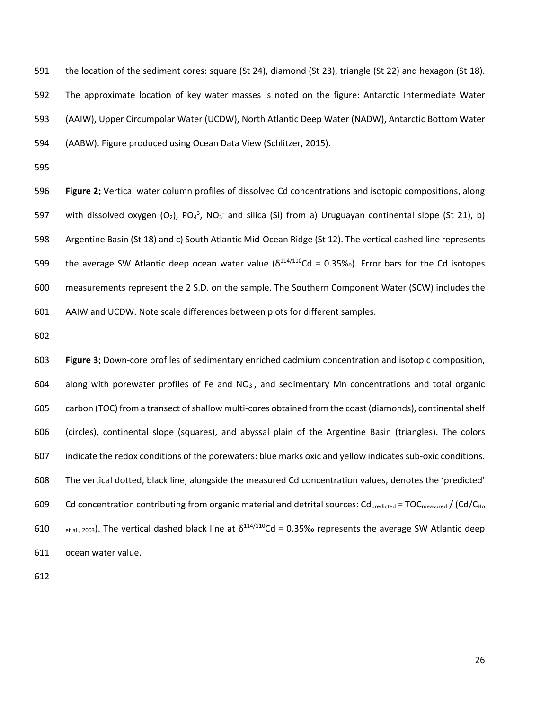the location of the sediment cores: square (St 24), diamond (St 23), triangle (St 22) and hexagon (St 18). The approximate location of key water masses is noted on the figure: Antarctic Intermediate Water (AAIW), Upper Circumpolar Water (UCDW), North Atlantic Deep Water (NADW), Antarctic Bottom Water (AABW). Figure produced using Ocean Data View (Schlitzer, 2015).

 **Figure 2;** Vertical water column profiles of dissolved Cd concentrations and isotopic compositions, along 597 with dissolved oxygen (O<sub>2</sub>), PO<sub>4</sub><sup>3</sup>, NO<sub>3</sub><sup>-</sup> and silica (Si) from a) Uruguayan continental slope (St 21), b) Argentine Basin (St 18) and c) South Atlantic Mid-Ocean Ridge (St 12). The vertical dashed line represents 599 the average SW Atlantic deep ocean water value ( $\delta^{114/110}$ Cd = 0.35‰). Error bars for the Cd isotopes measurements represent the 2 S.D. on the sample. The Southern Component Water (SCW) includes the AAIW and UCDW. Note scale differences between plots for different samples.

 **Figure 3;** Down-core profiles of sedimentary enriched cadmium concentration and isotopic composition, 604 along with porewater profiles of Fe and  $NO<sub>3</sub>$ , and sedimentary Mn concentrations and total organic carbon (TOC) from a transect of shallow multi-cores obtained from the coast (diamonds), continental shelf (circles), continental slope (squares), and abyssal plain of the Argentine Basin (triangles). The colors indicate the redox conditions of the porewaters: blue marks oxic and yellow indicates sub-oxic conditions. The vertical dotted, black line, alongside the measured Cd concentration values, denotes the 'predicted' 609 Cd concentration contributing from organic material and detrital sources:  $Cd_{predicted} = TOC_{measured} / (Cd/C_{Ho}$  $_{et al., 2003}$ ). The vertical dashed black line at  $\delta^{114/110}$ Cd = 0.35‰ represents the average SW Atlantic deep ocean water value.